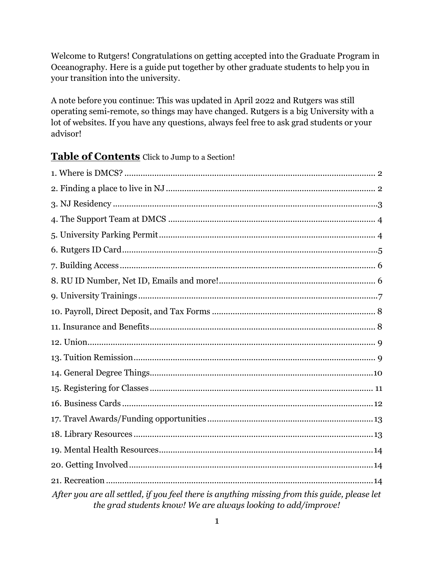Welcome to Rutgers! Congratulations on getting accepted into the Graduate Program in Oceanography. Here is a guide put together by other graduate students to help you in your transition into the university.

A note before you continue: This was updated in April 2022 and Rutgers was still operating semi-remote, so things may have changed. Rutgers is a big University with a lot of websites. If you have any questions, always feel free to ask grad students or your advisor!

### **Table of Contents** Click to Jump to a Section!

| After you are all settled, if you feel there is anything missing from this guide, please let |
|----------------------------------------------------------------------------------------------|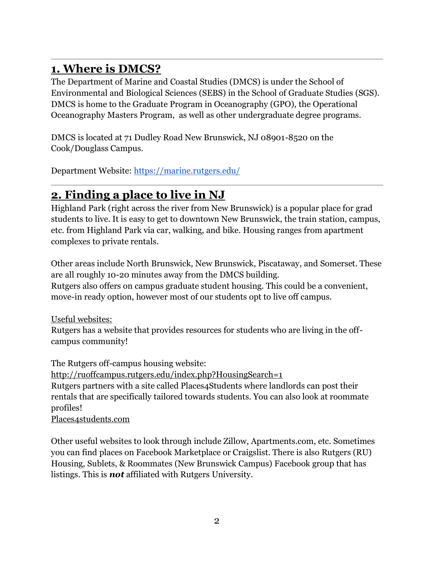# <span id="page-1-0"></span>**1. Where is DMCS?**

The Department of Marine and Coastal Studies (DMCS) is under the School of Environmental and Biological Sciences (SEBS) in the School of Graduate Studies (SGS). DMCS is home to the Graduate Program in Oceanography (GPO), the Operational Oceanography Masters Program, as well as other undergraduate degree programs.

DMCS is located at 71 Dudley Road New Brunswick, NJ 08901-8520 on the Cook/Douglass Campus.

Department Website:<https://marine.rutgers.edu/>

## <span id="page-1-1"></span>**2. Finding a place to live in NJ**

Highland Park (right across the river from New Brunswick) is a popular place for grad students to live. It is easy to get to downtown New Brunswick, the train station, campus, etc. from Highland Park via car, walking, and bike. Housing ranges from apartment complexes to private rentals.

Other areas include North Brunswick, New Brunswick, Piscataway, and Somerset. These are all roughly 10-20 minutes away from the DMCS building. Rutgers also offers on campus graduate student housing. This could be a convenient, move-in ready option, however most of our students opt to live off campus.

Useful websites:

Rutgers has a website that provides resources for students who are living in the offcampus community!

The Rutgers off-campus housing website:

<http://ruoffcampus.rutgers.edu/index.php?HousingSearch=1>

Rutgers partners with a site called Places4Students where landlords can post their rentals that are specifically tailored towards students. You can also look at roommate profiles!

[Places4students.com](http://places4students.com/index)

Other useful websites to look through include Zillow, Apartments.com, etc. Sometimes you can find places on Facebook Marketplace or Craigslist. There is also Rutgers (RU) Housing, Sublets, & Roommates (New Brunswick Campus) Facebook group that has listings. This is *not* affiliated with Rutgers University.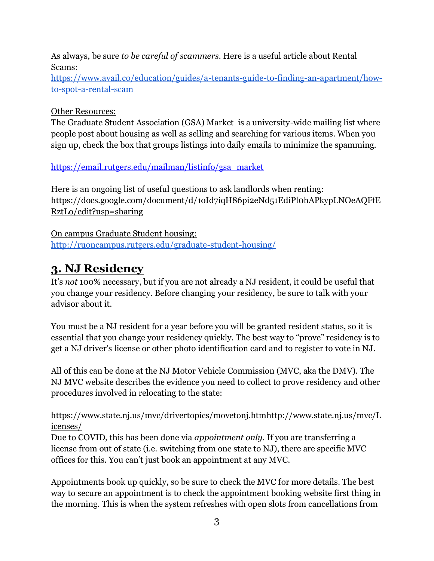As always, be sure *to be careful of scammers.* Here is a useful article about Rental Scams:

[https://www.avail.co/education/guides/a-tenants-guide-to-finding-an-apartment/how](https://www.avail.co/education/guides/a-tenants-guide-to-finding-an-apartment/how-to-spot-a-rental-scam)[to-spot-a-rental-scam](https://www.avail.co/education/guides/a-tenants-guide-to-finding-an-apartment/how-to-spot-a-rental-scam) 

### Other Resources:

The Graduate Student Association (GSA) Market is a university-wide mailing list where people post about housing as well as selling and searching for various items. When you sign up, check the box that groups listings into daily emails to minimize the spamming.

### [https://email.rutgers.edu/mailman/listinfo/gsa\\_market](https://email.rutgers.edu/mailman/listinfo/gsa_market)

Here is an ongoing list of useful questions to ask landlords when renting: [https://docs.google.com/document/d/1oId7iqH86pi2eNd51EdiPl0hAPkypLNOeAQFfE](https://docs.google.com/document/d/1oId7iqH86pi2eNd51EdiPl0hAPkypLNOeAQFfERztLo/edit?usp=sharing) [RztLo/edit?usp=sharing](https://docs.google.com/document/d/1oId7iqH86pi2eNd51EdiPl0hAPkypLNOeAQFfERztLo/edit?usp=sharing)

On campus Graduate Student housing: <http://ruoncampus.rutgers.edu/graduate-student-housing/>

## <span id="page-2-0"></span>**3. NJ Residency**

It's *not* 100% necessary, but if you are not already a NJ resident, it could be useful that you change your residency. Before changing your residency, be sure to talk with your advisor about it.

You must be a NJ resident for a year before you will be granted resident status, so it is essential that you change your residency quickly. The best way to "prove" residency is to get a NJ driver's license or other photo identification card and to register to vote in NJ.

All of this can be done at the NJ Motor Vehicle Commission (MVC, aka the DMV). The NJ MVC website describes the evidence you need to collect to prove residency and other procedures involved in relocating to the state:

<https://www.state.nj.us/mvc/drivertopics/movetonj.htm>[http://www.state.nj.us/mvc/L](http://www.state.nj.us/mvc/Licenses/) [icenses/](http://www.state.nj.us/mvc/Licenses/)

Due to COVID, this has been done via *appointment only.* If you are transferring a license from out of state (i.e. switching from one state to NJ), there are specific MVC offices for this. You can't just book an appointment at any MVC.

Appointments book up quickly, so be sure to check the MVC for more details. The best way to secure an appointment is to check the appointment booking website first thing in the morning. This is when the system refreshes with open slots from cancellations from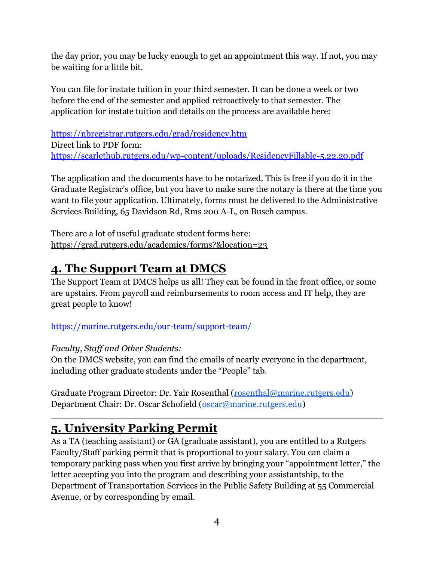the day prior, you may be lucky enough to get an appointment this way. If not, you may be waiting for a little bit.

You can file for instate tuition in your third semester. It can be done a week or two before the end of the semester and applied retroactively to that semester. The application for instate tuition and details on the process are available here:

<https://nbregistrar.rutgers.edu/grad/residency.htm> Direct link to PDF form: <https://scarlethub.rutgers.edu/wp-content/uploads/ResidencyFillable-5.22.20.pdf>

The application and the documents have to be notarized. This is free if you do it in the Graduate Registrar's office, but you have to make sure the notary is there at the time you want to file your application. Ultimately, forms must be delivered to the Administrative Services Building, 65 Davidson Rd, Rms 200 A-L, on Busch campus.

There are a lot of useful graduate student forms here: <https://grad.rutgers.edu/academics/forms?&location=23>

# <span id="page-3-0"></span>**4. The Support Team at DMCS**

The Support Team at DMCS helps us all! They can be found in the front office, or some are upstairs. From payroll and reimbursements to room access and IT help, they are great people to know!

<https://marine.rutgers.edu/our-team/support-team/>

*Faculty, Staff and Other Students:* 

On the DMCS website, you can find the emails of nearly everyone in the department, including other graduate students under the "People" tab.

Graduate Program Director: Dr. Yair Rosenthal [\(rosenthal@marine.rutgers.edu\)](mailto:rosenthal@marine.rutgers.edu) Department Chair: Dr. Oscar Schofield [\(oscar@marine.rutgers.edu\)](mailto:oscar@marine.rutgers.edu)

# <span id="page-3-1"></span>**5. University Parking Permit**

As a TA (teaching assistant) or GA (graduate assistant), you are entitled to a Rutgers Faculty/Staff parking permit that is proportional to your salary. You can claim a temporary parking pass when you first arrive by bringing your "appointment letter," the letter accepting you into the program and describing your assistantship, to the Department of Transportation Services in the Public Safety Building at 55 Commercial Avenue, or by corresponding by email.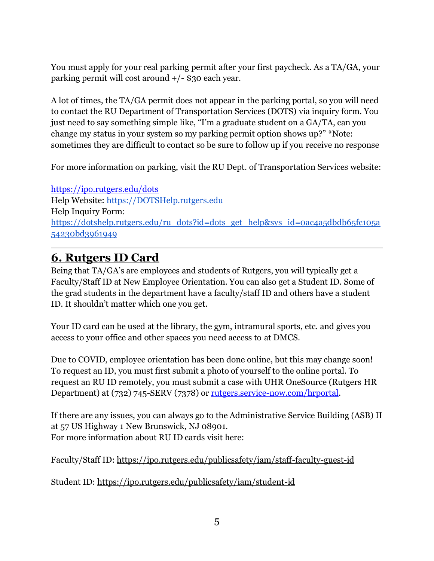You must apply for your real parking permit after your first paycheck. As a TA/GA, your parking permit will cost around +/- \$30 each year.

A lot of times, the TA/GA permit does not appear in the parking portal, so you will need to contact the RU Department of Transportation Services (DOTS) via inquiry form. You just need to say something simple like, "I'm a graduate student on a GA/TA, can you change my status in your system so my parking permit option shows up?" \*Note: sometimes they are difficult to contact so be sure to follow up if you receive no response

For more information on parking, visit the RU Dept. of Transportation Services website:

<https://ipo.rutgers.edu/dots> Help Website: [https://DOTSHelp.rutgers.edu](https://dotshelp.rutgers.edu/)  Help Inquiry Form: [https://dotshelp.rutgers.edu/ru\\_dots?id=dots\\_get\\_help&sys\\_id=0ac4a5dbdb65fc105a](https://dotshelp.rutgers.edu/ru_dots?id=dots_get_help&sys_id=0ac4a5dbdb65fc105a54230bd3961949) [54230bd3961949](https://dotshelp.rutgers.edu/ru_dots?id=dots_get_help&sys_id=0ac4a5dbdb65fc105a54230bd3961949)

## <span id="page-4-0"></span>**6. Rutgers ID Card**

Being that TA/GA's are employees and students of Rutgers, you will typically get a Faculty/Staff ID at New Employee Orientation. You can also get a Student ID. Some of the grad students in the department have a faculty/staff ID and others have a student ID. It shouldn't matter which one you get.

Your ID card can be used at the library, the gym, intramural sports, etc. and gives you access to your office and other spaces you need access to at DMCS.

Due to COVID, employee orientation has been done online, but this may change soon! To request an ID, you must first submit a photo of yourself to the online portal. To request an RU ID remotely, you must submit a case with UHR OneSource (Rutgers HR Department) at (732) 745-SERV (7378) or [rutgers.service-now.com/hrportal.](http://rutgers.service-now.com/hrportal)

If there are any issues, you can always go to the Administrative Service Building (ASB) II at 57 US Highway 1 New Brunswick, NJ 08901. For more information about RU ID cards visit here:

Faculty/Staff ID:<https://ipo.rutgers.edu/publicsafety/iam/staff-faculty-guest-id>

Student ID:<https://ipo.rutgers.edu/publicsafety/iam/student-id>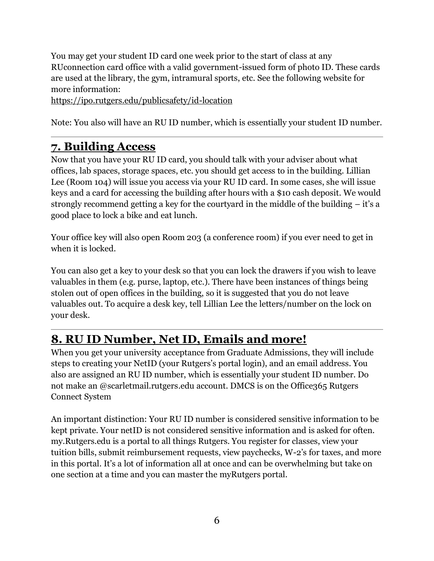You may get your student ID card one week prior to the start of class at any RUconnection card office with a valid government-issued form of photo ID. These cards are used at the library, the gym, intramural sports, etc. See the following website for more information:

<https://ipo.rutgers.edu/publicsafety/id-location>

Note: You also will have an RU ID number, which is essentially your student ID number.

### <span id="page-5-0"></span>**7. Building Access**

Now that you have your RU ID card, you should talk with your adviser about what offices, lab spaces, storage spaces, etc. you should get access to in the building. Lillian Lee (Room 104) will issue you access via your RU ID card. In some cases, she will issue keys and a card for accessing the building after hours with a \$10 cash deposit. We would strongly recommend getting a key for the courtyard in the middle of the building – it's a good place to lock a bike and eat lunch.

Your office key will also open Room 203 (a conference room) if you ever need to get in when it is locked.

You can also get a key to your desk so that you can lock the drawers if you wish to leave valuables in them (e.g. purse, laptop, etc.). There have been instances of things being stolen out of open offices in the building, so it is suggested that you do not leave valuables out. To acquire a desk key, tell Lillian Lee the letters/number on the lock on your desk.

## <span id="page-5-1"></span>**8. RU ID Number, Net ID, Emails and more!**

When you get your university acceptance from Graduate Admissions, they will include steps to creating your NetID (your Rutgers's portal login), and an email address. You also are assigned an RU ID number, which is essentially your student ID number. Do not make an @scarletmail.rutgers.edu account. DMCS is on the Office365 Rutgers Connect System

An important distinction: Your RU ID number is considered sensitive information to be kept private. Your netID is not considered sensitive information and is asked for often. my.Rutgers.edu is a portal to all things Rutgers. You register for classes, view your tuition bills, submit reimbursement requests, view paychecks, W-2's for taxes, and more in this portal. It's a lot of information all at once and can be overwhelming but take on one section at a time and you can master the myRutgers portal.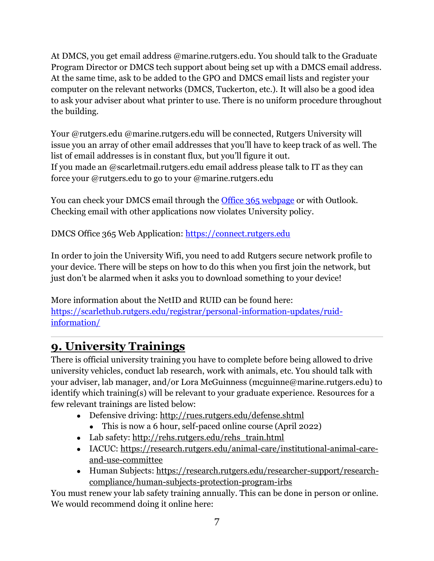At DMCS, you get email address @marine.rutgers.edu. You should talk to the Graduate Program Director or DMCS tech support about being set up with a DMCS email address. At the same time, ask to be added to the GPO and DMCS email lists and register your computer on the relevant networks (DMCS, Tuckerton, etc.). It will also be a good idea to ask your adviser about what printer to use. There is no uniform procedure throughout the building.

Your @rutgers.edu @marine.rutgers.edu will be connected, Rutgers University will issue you an array of other email addresses that you'll have to keep track of as well. The list of email addresses is in constant flux, but you'll figure it out. If you made an @scarletmail.rutgers.edu email address please talk to IT as they can force your @rutgers.edu to go to your @marine.rutgers.edu

You can check your DMCS email through the **[Office 365 webpage](https://connect.rutgers.edu/)** or with Outlook. Checking email with other applications now violates University policy.

DMCS Office 365 Web Application: [https://connect.rutgers.edu](https://connect.rutgers.edu/)

In order to join the University Wifi, you need to add Rutgers secure network profile to your device. There will be steps on how to do this when you first join the network, but just don't be alarmed when it asks you to download something to your device!

More information about the NetID and RUID can be found here: [https://scarlethub.rutgers.edu/registrar/personal-information-updates/ruid](https://scarlethub.rutgers.edu/registrar/personal-information-updates/ruid-information/)[information/](https://scarlethub.rutgers.edu/registrar/personal-information-updates/ruid-information/)

# <span id="page-6-0"></span>**9. University Trainings**

There is official university training you have to complete before being allowed to drive university vehicles, conduct lab research, work with animals, etc. You should talk with your adviser, lab manager, and/or Lora McGuinness (mcguinne@marine.rutgers.edu) to identify which training(s) will be relevant to your graduate experience. Resources for a few relevant trainings are listed below:

- Defensive driving: <http://rues.rutgers.edu/defense.shtml>
	- This is now a 6 hour, self-paced online course (April 2022)
- Lab safety: [http://rehs.rutgers.edu/rehs\\_train.html](http://rehs.rutgers.edu/rehs_train.html)
- IACUC: [https://research.rutgers.edu/animal-care/institutional-animal-care](https://research.rutgers.edu/animal-care/institutional-animal-care-and-use-committee)[and-use-committee](https://research.rutgers.edu/animal-care/institutional-animal-care-and-use-committee)
- Human Subjects: [https://research.rutgers.edu/researcher-support/research](https://research.rutgers.edu/researcher-support/research-compliance/human-subjects-protection-program-irbs)[compliance/human-subjects-protection-program-irbs](https://research.rutgers.edu/researcher-support/research-compliance/human-subjects-protection-program-irbs)

You must renew your lab safety training annually. This can be done in person or online. We would recommend doing it online here: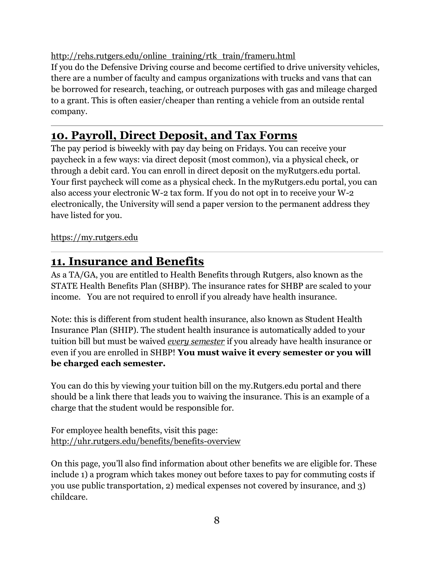### [http://rehs.rutgers.edu/online\\_training/rtk\\_train/frameru.html](http://rehs.rutgers.edu/online_training/rtk_train/frameru.html)

If you do the Defensive Driving course and become certified to drive university vehicles, there are a number of faculty and campus organizations with trucks and vans that can be borrowed for research, teaching, or outreach purposes with gas and mileage charged to a grant. This is often easier/cheaper than renting a vehicle from an outside rental company.

### <span id="page-7-0"></span>**10. Payroll, Direct Deposit, and Tax Forms**

The pay period is biweekly with pay day being on Fridays. You can receive your paycheck in a few ways: via direct deposit (most common), via a physical check, or through a debit card. You can enroll in direct deposit on the myRutgers.edu portal. Your first paycheck will come as a physical check. In the myRutgers.edu portal, you can also access your electronic W-2 tax form. If you do not opt in to receive your W-2 electronically, the University will send a paper version to the permanent address they have listed for you.

#### [https://my.rutgers.edu](https://my.rutgers.edu/)

### <span id="page-7-1"></span>**11. Insurance and Benefits**

As a TA/GA, you are entitled to Health Benefits through Rutgers, also known as the STATE Health Benefits Plan (SHBP). The insurance rates for SHBP are scaled to your income. You are not required to enroll if you already have health insurance.

Note: this is different from student health insurance, also known as Student Health Insurance Plan (SHIP). The student health insurance is automatically added to your tuition bill but must be waived *every semester* if you already have health insurance or even if you are enrolled in SHBP! **You must waive it every semester or you will be charged each semester.** 

You can do this by viewing your tuition bill on the my.Rutgers.edu portal and there should be a link there that leads you to waiving the insurance. This is an example of a charge that the student would be responsible for.

For employee health benefits, visit this page: <http://uhr.rutgers.edu/benefits/benefits-overview>

On this page, you'll also find information about other benefits we are eligible for. These include 1) a program which takes money out before taxes to pay for commuting costs if you use public transportation, 2) medical expenses not covered by insurance, and 3) childcare.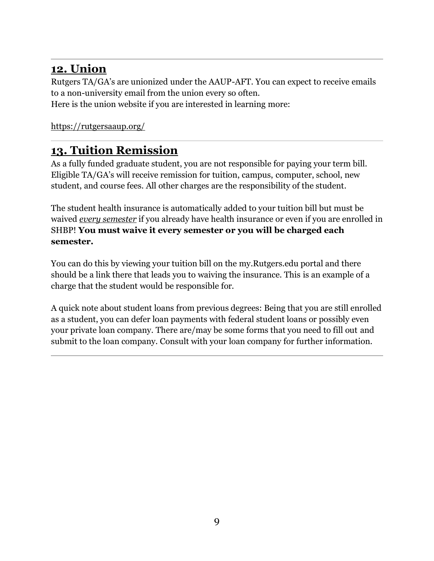### <span id="page-8-0"></span>**12. Union**

Rutgers TA/GA's are unionized under the AAUP-AFT. You can expect to receive emails to a non-university email from the union every so often. Here is the union website if you are interested in learning more:

<https://rutgersaaup.org/>

### <span id="page-8-1"></span>**13. Tuition Remission**

As a fully funded graduate student, you are not responsible for paying your term bill. Eligible TA/GA's will receive remission for tuition, campus, computer, school, new student, and course fees. All other charges are the responsibility of the student.

The student health insurance is automatically added to your tuition bill but must be waived *every semester* if you already have health insurance or even if you are enrolled in SHBP! **You must waive it every semester or you will be charged each semester.** 

You can do this by viewing your tuition bill on the my.Rutgers.edu portal and there should be a link there that leads you to waiving the insurance. This is an example of a charge that the student would be responsible for.

A quick note about student loans from previous degrees: Being that you are still enrolled as a student, you can defer loan payments with federal student loans or possibly even your private loan company. There are/may be some forms that you need to fill out and submit to the loan company. Consult with your loan company for further information.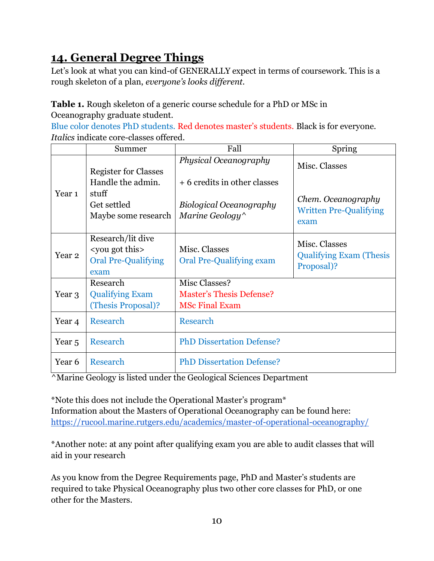## <span id="page-9-0"></span>**14. General Degree Things**

Let's look at what you can kind-of GENERALLY expect in terms of coursework. This is a rough skeleton of a plan, *everyone's looks different.*

**Table 1.** Rough skeleton of a generic course schedule for a PhD or MSc in Oceanography graduate student.

Blue color denotes PhD students. Red denotes master's students. Black is for everyone. *Italics* indicate core-classes offered.

|                   | Summer                                                                                          | Fall                                                                                                       | Spring                                                                       |
|-------------------|-------------------------------------------------------------------------------------------------|------------------------------------------------------------------------------------------------------------|------------------------------------------------------------------------------|
| Year <sub>1</sub> | <b>Register for Classes</b><br>Handle the admin.<br>stuff<br>Get settled<br>Maybe some research | Physical Oceanography<br>+ 6 credits in other classes<br><b>Biological Oceanography</b><br>Marine Geology^ | Misc. Classes<br>Chem. Oceanography<br><b>Written Pre-Qualifying</b><br>exam |
| Year <sub>2</sub> | Research/lit dive<br><you got="" this<br=""><b>Oral Pre-Qualifying</b><br/>exam</you>           | Misc. Classes<br><b>Oral Pre-Qualifying exam</b>                                                           | Misc. Classes<br><b>Qualifying Exam (Thesis</b><br>Proposal)?                |
| Year 3            | Research<br><b>Qualifying Exam</b><br>(Thesis Proposal)?                                        | Misc Classes?<br><b>Master's Thesis Defense?</b><br><b>MSc Final Exam</b>                                  |                                                                              |
| Year 4            | Research                                                                                        | Research                                                                                                   |                                                                              |
| Year 5            | Research                                                                                        | <b>PhD Dissertation Defense?</b>                                                                           |                                                                              |
| Year 6            | Research                                                                                        | <b>PhD Dissertation Defense?</b>                                                                           |                                                                              |

^Marine Geology is listed under the Geological Sciences Department

\*Note this does not include the Operational Master's program\* Information about the Masters of Operational Oceanography can be found here: <https://rucool.marine.rutgers.edu/academics/master-of-operational-oceanography/>

\*Another note: at any point after qualifying exam you are able to audit classes that will aid in your research

As you know from the Degree Requirements page, PhD and Master's students are required to take Physical Oceanography plus two other core classes for PhD, or one other for the Masters.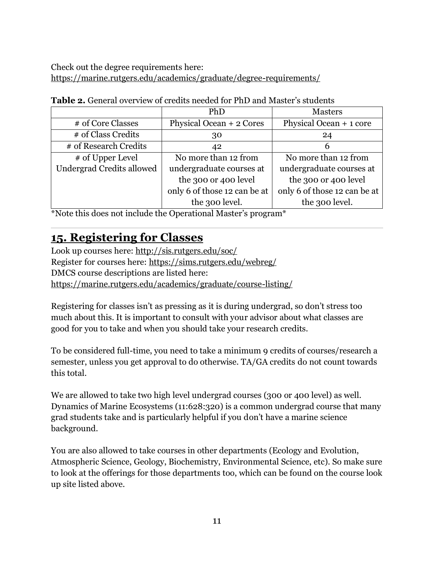Check out the degree requirements here: <https://marine.rutgers.edu/academics/graduate/degree-requirements/>

|                                  | PhD                          | <b>Masters</b>               |
|----------------------------------|------------------------------|------------------------------|
| # of Core Classes                | Physical Ocean + 2 Cores     | Physical Ocean + 1 core      |
| # of Class Credits               | 30                           | 24                           |
| # of Research Credits            | 42                           | 6                            |
| # of Upper Level                 | No more than 12 from         | No more than 12 from         |
| <b>Undergrad Credits allowed</b> | undergraduate courses at     | undergraduate courses at     |
|                                  | the 300 or 400 level         | the 300 or 400 level         |
|                                  | only 6 of those 12 can be at | only 6 of those 12 can be at |
|                                  | the 300 level.               | the 300 level.               |

| <b>Table 2.</b> General overview of credits needed for PhD and Master's students |
|----------------------------------------------------------------------------------|
|----------------------------------------------------------------------------------|

\*Note this does not include the Operational Master's program\*

### <span id="page-10-0"></span>**15. Registering for Classes**

Look up courses here: <http://sis.rutgers.edu/soc/> Register for courses here: <https://sims.rutgers.edu/webreg/> DMCS course descriptions are listed here: <https://marine.rutgers.edu/academics/graduate/course-listing/>

Registering for classes isn't as pressing as it is during undergrad, so don't stress too much about this. It is important to consult with your advisor about what classes are good for you to take and when you should take your research credits.

To be considered full-time, you need to take a minimum 9 credits of courses/research a semester, unless you get approval to do otherwise. TA/GA credits do not count towards this total.

We are allowed to take two high level undergrad courses (300 or 400 level) as well. Dynamics of Marine Ecosystems (11:628:320) is a common undergrad course that many grad students take and is particularly helpful if you don't have a marine science background.

You are also allowed to take courses in other departments (Ecology and Evolution, Atmospheric Science, Geology, Biochemistry, Environmental Science, etc). So make sure to look at the offerings for those departments too, which can be found on the course look up site listed above.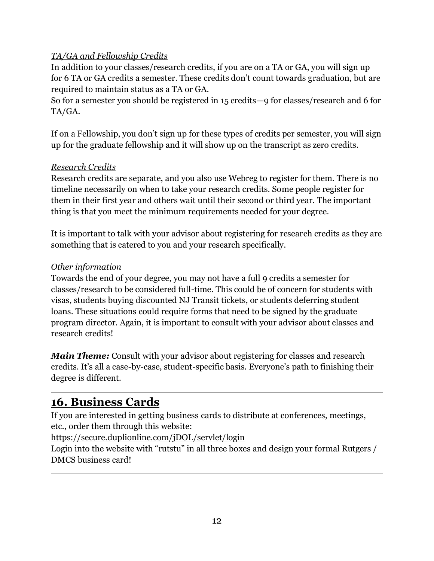### *TA/GA and Fellowship Credits*

In addition to your classes/research credits, if you are on a TA or GA, you will sign up for 6 TA or GA credits a semester. These credits don't count towards graduation, but are required to maintain status as a TA or GA.

So for a semester you should be registered in 15 credits—9 for classes/research and 6 for TA/GA.

If on a Fellowship, you don't sign up for these types of credits per semester, you will sign up for the graduate fellowship and it will show up on the transcript as zero credits.

### *Research Credits*

Research credits are separate, and you also use Webreg to register for them. There is no timeline necessarily on when to take your research credits. Some people register for them in their first year and others wait until their second or third year. The important thing is that you meet the minimum requirements needed for your degree.

It is important to talk with your advisor about registering for research credits as they are something that is catered to you and your research specifically.

### *Other information*

Towards the end of your degree, you may not have a full 9 credits a semester for classes/research to be considered full-time. This could be of concern for students with visas, students buying discounted NJ Transit tickets, or students deferring student loans. These situations could require forms that need to be signed by the graduate program director. Again, it is important to consult with your advisor about classes and research credits!

*Main Theme:* Consult with your advisor about registering for classes and research credits. It's all a case-by-case, student-specific basis. Everyone's path to finishing their degree is different.

### <span id="page-11-0"></span>**16. Business Cards**

If you are interested in getting business cards to distribute at conferences, meetings, etc., order them through this website:

<https://secure.duplionline.com/jDOL/servlet/login>

Login into the website with "rutstu" in all three boxes and design your formal Rutgers / DMCS business card!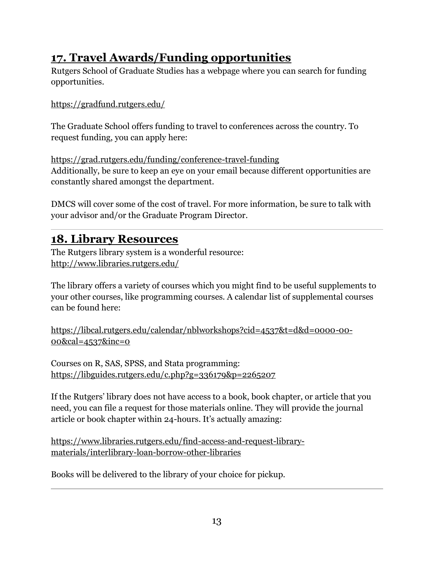## <span id="page-12-0"></span>**17. Travel Awards/Funding opportunities**

Rutgers School of Graduate Studies has a webpage where you can search for funding opportunities.

<https://gradfund.rutgers.edu/>

The Graduate School offers funding to travel to conferences across the country. To request funding, you can apply here:

<https://grad.rutgers.edu/funding/conference-travel-funding> Additionally, be sure to keep an eye on your email because different opportunities are constantly shared amongst the department.

DMCS will cover some of the cost of travel. For more information, be sure to talk with your advisor and/or the Graduate Program Director.

### <span id="page-12-1"></span>**18. Library Resources**

The Rutgers library system is a wonderful resource: <http://www.libraries.rutgers.edu/>

The library offers a variety of courses which you might find to be useful supplements to your other courses, like programming courses. A calendar list of supplemental courses can be found here:

[https://libcal.rutgers.edu/calendar/nblworkshops?cid=4537&t=d&d=0000-00-](https://libcal.rutgers.edu/calendar/nblworkshops?cid=4537&t=d&d=0000-00-00&cal=4537&inc=0) [00&cal=4537&inc=0](https://libcal.rutgers.edu/calendar/nblworkshops?cid=4537&t=d&d=0000-00-00&cal=4537&inc=0)

Courses on R, SAS, SPSS, and Stata programming: <https://libguides.rutgers.edu/c.php?g=336179&p=2265207>

If the Rutgers' library does not have access to a book, book chapter, or article that you need, you can file a request for those materials online. They will provide the journal article or book chapter within 24-hours. It's actually amazing:

[https://www.libraries.rutgers.edu/find-access-and-request-library](https://www.libraries.rutgers.edu/find-access-and-request-library-materials/interlibrary-loan-borrow-other-libraries)[materials/interlibrary-loan-borrow-other-libraries](https://www.libraries.rutgers.edu/find-access-and-request-library-materials/interlibrary-loan-borrow-other-libraries)

Books will be delivered to the library of your choice for pickup.